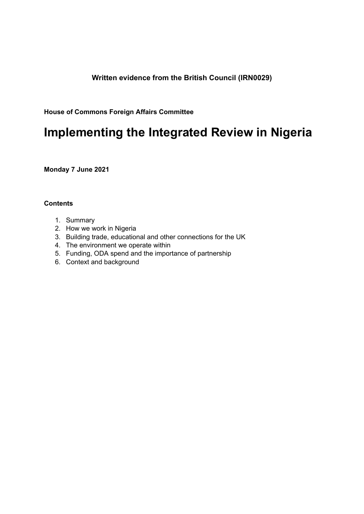# **Written evidence from the British Council (IRN0029)**

**House of Commons Foreign Affairs Committee**

# **Implementing the Integrated Review in Nigeria**

**Monday 7 June 2021**

## **Contents**

- 1. Summary
- 2. How we work in Nigeria
- 3. Building trade, educational and other connections for the UK
- 4. The environment we operate within
- 5. Funding, ODA spend and the importance of partnership
- 6. Context and background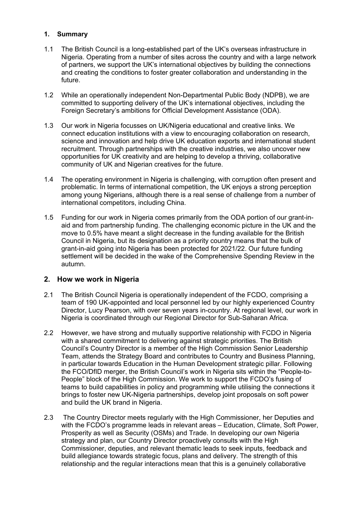## **1. Summary**

- 1.1 The British Council is a long-established part of the UK's overseas infrastructure in Nigeria. Operating from a number of sites across the country and with a large network of partners, we support the UK's international objectives by building the connections and creating the conditions to foster greater collaboration and understanding in the future.
- 1.2 While an operationally independent Non-Departmental Public Body (NDPB), we are committed to supporting delivery of the UK's international objectives, including the Foreign Secretary's ambitions for Official Development Assistance (ODA).
- 1.3 Our work in Nigeria focusses on UK/Nigeria educational and creative links. We connect education institutions with a view to encouraging collaboration on research, science and innovation and help drive UK education exports and international student recruitment. Through partnerships with the creative industries, we also uncover new opportunities for UK creativity and are helping to develop a thriving, collaborative community of UK and Nigerian creatives for the future.
- 1.4 The operating environment in Nigeria is challenging, with corruption often present and problematic. In terms of international competition, the UK enjoys a strong perception among young Nigerians, although there is a real sense of challenge from a number of international competitors, including China.
- 1.5 Funding for our work in Nigeria comes primarily from the ODA portion of our grant-inaid and from partnership funding. The challenging economic picture in the UK and the move to 0.5% have meant a slight decrease in the funding available for the British Council in Nigeria, but its designation as a priority country means that the bulk of grant-in-aid going into Nigeria has been protected for 2021/22. Our future funding settlement will be decided in the wake of the Comprehensive Spending Review in the autumn.

## **2. How we work in Nigeria**

- 2.1 The British Council Nigeria is operationally independent of the FCDO, comprising a team of 190 UK-appointed and local personnel led by our highly experienced Country Director, Lucy Pearson, with over seven years in-country. At regional level, our work in Nigeria is coordinated through our Regional Director for Sub-Saharan Africa.
- 2.2 However, we have strong and mutually supportive relationship with FCDO in Nigeria with a shared commitment to delivering against strategic priorities. The British Council's Country Director is a member of the High Commission Senior Leadership Team, attends the Strategy Board and contributes to Country and Business Planning, in particular towards Education in the Human Development strategic pillar. Following the FCO/DfID merger, the British Council's work in Nigeria sits within the "People-to-People" block of the High Commission. We work to support the FCDO's fusing of teams to build capabilities in policy and programming while utilising the connections it brings to foster new UK-Nigeria partnerships, develop joint proposals on soft power and build the UK brand in Nigeria.
- 2.3 The Country Director meets regularly with the High Commissioner, her Deputies and with the FCDO's programme leads in relevant areas – Education, Climate, Soft Power, Prosperity as well as Security (OSMs) and Trade. In developing our own Nigeria strategy and plan, our Country Director proactively consults with the High Commissioner, deputies, and relevant thematic leads to seek inputs, feedback and build allegiance towards strategic focus, plans and delivery. The strength of this relationship and the regular interactions mean that this is a genuinely collaborative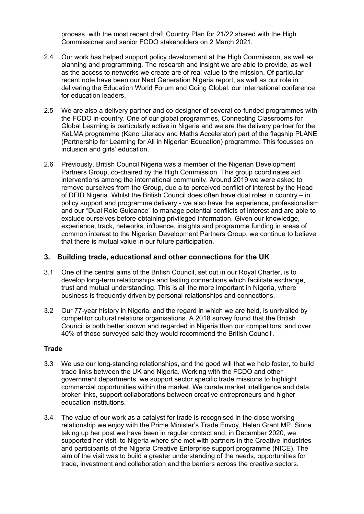process, with the most recent draft Country Plan for 21/22 shared with the High Commissioner and senior FCDO stakeholders on 2 March 2021.

- 2.4 Our work has helped support policy development at the High Commission, as well as planning and programming. The research and insight we are able to provide, as well as the access to networks we create are of real value to the mission. Of particular recent note have been our Next Generation Nigeria report, as well as our role in delivering the Education World Forum and Going Global, our international conference for education leaders.
- 2.5 We are also a delivery partner and co-designer of several co-funded programmes with the FCDO in-country. One of our global programmes, Connecting Classrooms for Global Learning is particularly active in Nigeria and we are the delivery partner for the KaLMA programme (Kano Literacy and Maths Accelerator) part of the flagship PLANE (Partnership for Learning for All in Nigerian Education) programme. This focusses on inclusion and girls' education.
- 2.6 Previously, British Council Nigeria was a member of the Nigerian Development Partners Group, co-chaired by the High Commission. This group coordinates aid interventions among the international community. Around 2019 we were asked to remove ourselves from the Group, due a to perceived conflict of interest by the Head of DFID Nigeria. Whilst the British Council does often have dual roles in country – in policy support and programme delivery - we also have the experience, professionalism and our "Dual Role Guidance" to manage potential conflicts of interest and are able to exclude ourselves before obtaining privileged information. Given our knowledge, experience, track, networks, influence, insights and programme funding in areas of common interest to the Nigerian Development Partners Group, we continue to believe that there is mutual value in our future participation.

#### **3. Building trade, educational and other connections for the UK**

- 3.1 One of the central aims of the British Council, set out in our Royal Charter, is to develop long-term relationships and lasting connections which facilitate exchange, trust and mutual understanding. This is all the more important in Nigeria, where business is frequently driven by personal relationships and connections.
- 3.2 Our 77-year history in Nigeria, and the regard in which we are held, is unrivalled by competitor cultural relations organisations. A 2018 survey found that the British Council is both better known and regarded in Nigeria than our competitors, and over 40% of those surveyed said they would recommend the British Council<sup>i</sup>.

#### **Trade**

- 3.3 We use our long-standing relationships, and the good will that we help foster, to build trade links between the UK and Nigeria. Working with the FCDO and other government departments, we support sector specific trade missions to highlight commercial opportunities within the market. We curate market intelligence and data, broker links, support collaborations between creative entrepreneurs and higher education institutions.
- 3.4 The value of our work as a catalyst for trade is recognised in the close working relationship we enjoy with the Prime Minister's Trade Envoy, Helen Grant MP. Since taking up her post we have been in regular contact and, in December 2020, we supported her visit to Nigeria where she met with partners in the Creative Industries and participants of the Nigeria Creative Enterprise support programme (NICE). The aim of the visit was to build a greater understanding of the needs, opportunities for trade, investment and collaboration and the barriers across the creative sectors.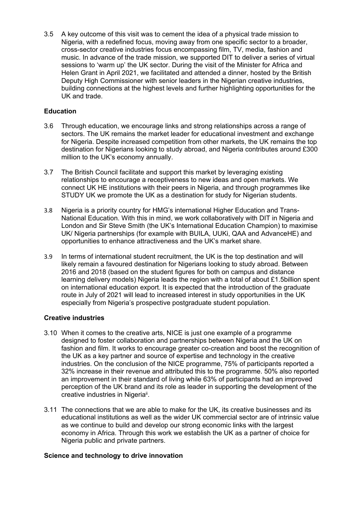3.5 A key outcome of this visit was to cement the idea of a physical trade mission to Nigeria, with a redefined focus, moving away from one specific sector to a broader, cross-sector creative industries focus encompassing film, TV, media, fashion and music. In advance of the trade mission, we supported DIT to deliver a series of virtual sessions to 'warm up' the UK sector. During the visit of the Minister for Africa and Helen Grant in April 2021, we facilitated and attended a dinner, hosted by the British Deputy High Commissioner with senior leaders in the Nigerian creative industries, building connections at the highest levels and further highlighting opportunities for the UK and trade.

## **Education**

- 3.6 Through education, we encourage links and strong relationships across a range of sectors. The UK remains the market leader for educational investment and exchange for Nigeria. Despite increased competition from other markets, the UK remains the top destination for Nigerians looking to study abroad, and Nigeria contributes around £300 million to the UK's economy annually.
- 3.7 The British Council facilitate and support this market by leveraging existing relationships to encourage a receptiveness to new ideas and open markets. We connect UK HE institutions with their peers in Nigeria, and through programmes like STUDY UK we promote the UK as a destination for study for Nigerian students.
- 3.8 Nigeria is a priority country for HMG's international Higher Education and Trans-National Education. With this in mind, we work collaboratively with DIT in Nigeria and London and Sir Steve Smith (the UK's International Education Champion) to maximise UK/ Nigeria partnerships (for example with BUILA, UUKi, QAA and AdvanceHE) and opportunities to enhance attractiveness and the UK's market share.
- 3.9 In terms of international student recruitment, the UK is the top destination and will likely remain a favoured destination for Nigerians looking to study abroad. Between 2016 and 2018 (based on the student figures for both on campus and distance learning delivery models) Nigeria leads the region with a total of about £1.5billion spent on international education export. It is expected that the introduction of the graduate route in July of 2021 will lead to increased interest in study opportunities in the UK especially from Nigeria's prospective postgraduate student population.

#### **Creative industries**

- 3.10 When it comes to the creative arts, NICE is just one example of a programme designed to foster collaboration and partnerships between Nigeria and the UK on fashion and film. It works to encourage greater co-creation and boost the recognition of the UK as a key partner and source of expertise and technology in the creative industries. On the conclusion of the NICE programme, 75% of participants reported a 32% increase in their revenue and attributed this to the programme. 50% also reported an improvement in their standard of living while 63% of participants had an improved perception of the UK brand and its role as leader in supporting the development of the creative industries in Nigeria<sup>ii</sup>.
- 3.11 The connections that we are able to make for the UK, its creative businesses and its educational institutions as well as the wider UK commercial sector are of intrinsic value as we continue to build and develop our strong economic links with the largest economy in Africa. Through this work we establish the UK as a partner of choice for Nigeria public and private partners.

#### **Science and technology to drive innovation**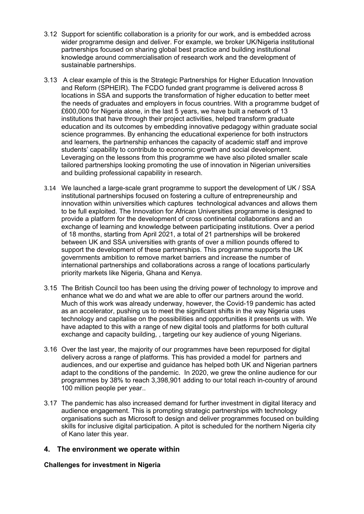- 3.12 Support for scientific collaboration is a priority for our work, and is embedded across wider programme design and deliver. For example, we broker UK/Nigeria institutional partnerships focused on sharing global best practice and building institutional knowledge around commercialisation of research work and the development of sustainable partnerships.
- 3.13 A clear example of this is the Strategic Partnerships for Higher Education Innovation and Reform (SPHEIR). The FCDO funded grant programme is delivered across 8 locations in SSA and supports the transformation of higher education to better meet the needs of graduates and employers in focus countries. With a programme budget of £600,000 for Nigeria alone, in the last 5 years, we have built a network of 13 institutions that have through their project activities, helped transform graduate education and its outcomes by embedding innovative pedagogy within graduate social science programmes. By enhancing the educational experience for both instructors and learners, the partnership enhances the capacity of academic staff and improve students' capability to contribute to economic growth and social development. Leveraging on the lessons from this programme we have also piloted smaller scale tailored partnerships looking promoting the use of innovation in Nigerian universities and building professional capability in research.
- 3.14 We launched a large-scale grant programme to support the development of UK / SSA institutional partnerships focused on fostering a culture of entrepreneurship and innovation within universities which captures technological advances and allows them to be full exploited. The Innovation for African Universities programme is designed to provide a platform for the development of cross continental collaborations and an exchange of learning and knowledge between participating institutions. Over a period of 18 months, starting from April 2021, a total of 21 partnerships will be brokered between UK and SSA universities with grants of over a million pounds offered to support the development of these partnerships. This programme supports the UK governments ambition to remove market barriers and increase the number of international partnerships and collaborations across a range of locations particularly priority markets like Nigeria, Ghana and Kenya.
- 3.15 The British Council too has been using the driving power of technology to improve and enhance what we do and what we are able to offer our partners around the world. Much of this work was already underway, however, the Covid-19 pandemic has acted as an accelerator, pushing us to meet the significant shifts in the way Nigeria uses technology and capitalise on the possibilities and opportunities it presents us with. We have adapted to this with a range of new digital tools and platforms for both cultural exchange and capacity building, , targeting our key audience of young Nigerians.
- 3.16 Over the last year, the majority of our programmes have been repurposed for digital delivery across a range of platforms. This has provided a model for partners and audiences, and our expertise and guidance has helped both UK and Nigerian partners adapt to the conditions of the pandemic. In 2020, we grew the online audience for our programmes by 38% to reach 3,398,901 adding to our total reach in-country of around 100 million people per year..
- 3.17 The pandemic has also increased demand for further investment in digital literacy and audience engagement. This is prompting strategic partnerships with technology organisations such as Microsoft to design and deliver programmes focused on building skills for inclusive digital participation. A pitot is scheduled for the northern Nigeria city of Kano later this year.

#### **4. The environment we operate within**

#### **Challenges for investment in Nigeria**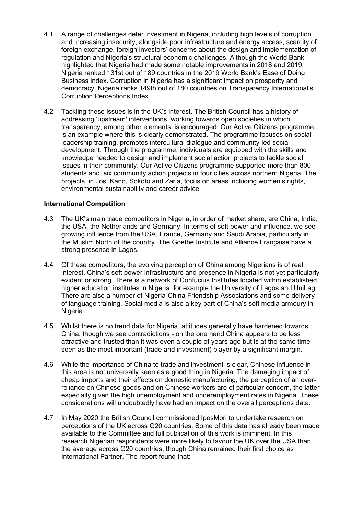- 4.1 A range of challenges deter investment in Nigeria, including high levels of corruption and increasing insecurity, alongside poor infrastructure and energy access, scarcity of foreign exchange, foreign investors' concerns about the design and implementation of regulation and Nigeria's structural economic challenges. Although the World Bank highlighted that Nigeria had made some notable improvements in 2018 and 2019, Nigeria ranked 131st out of 189 countries in the 2019 World Bank's Ease of Doing Business index. Corruption in Nigeria has a significant impact on prosperity and democracy. Nigeria ranks 149th out of 180 countries on Transparency International's Corruption Perceptions Index.
- 4.2 Tackling these issues is in the UK's interest. The British Council has a history of addressing 'upstream' interventions, working towards open societies in which transparency, among other elements, is encouraged. Our Active Citizens programme is an example where this is clearly demonstrated. The programme focuses on social leadership training, promotes intercultural dialogue and community-led social development. Through the programme, individuals are equipped with the skills and knowledge needed to design and implement social action projects to tackle social issues in their community. Our Active Citizens programme supported more than 800 students and six community action projects in four cities across northern Nigeria. The projects, in Jos, Kano, Sokoto and Zaria, focus on areas including women's rights, environmental sustainability and career advice

#### **International Competition**

- 4.3 The UK's main trade competitors in Nigeria, in order of market share, are China, India, the USA, the Netherlands and Germany. In terms of soft power and influence, we see growing influence from the USA, France, Germany and Saudi Arabia, particularly in the Muslim North of the country. The Goethe Institute and Alliance Française have a strong presence in Lagos.
- 4.4 Of these competitors, the evolving perception of China among Nigerians is of real interest. China's soft power infrastructure and presence in Nigeria is not yet particularly evident or strong. There is a network of Confucius Institutes located within established higher education institutes in Nigeria, for example the University of Lagos and UniLag. There are also a number of Nigeria-China Friendship Associations and some delivery of language training. Social media is also a key part of China's soft media armoury in Nigeria.
- 4.5 Whilst there is no trend data for Nigeria, attitudes generally have hardened towards China, though we see contradictions - on the one hand China appears to be less attractive and trusted than it was even a couple of years ago but is at the same time seen as the most important (trade and investment) player by a significant margin.
- 4.6 While the importance of China to trade and investment is clear, Chinese influence in this area is not universally seen as a good thing in Nigeria. The damaging impact of cheap imports and their effects on domestic manufacturing, the perception of an overreliance on Chinese goods and on Chinese workers are of particular concern, the latter especially given the high unemployment and underemployment rates in Nigeria. These considerations will undoubtedly have had an impact on the overall perceptions data.
- 4.7 In May 2020 the British Council commissioned IposMori to undertake research on perceptions of the UK across G20 countries. Some of this data has already been made available to the Committee and full publication of this work is imminent. In this research Nigerian respondents were more likely to favour the UK over the USA than the average across G20 countries, though China remained their first choice as International Partner. The report found that: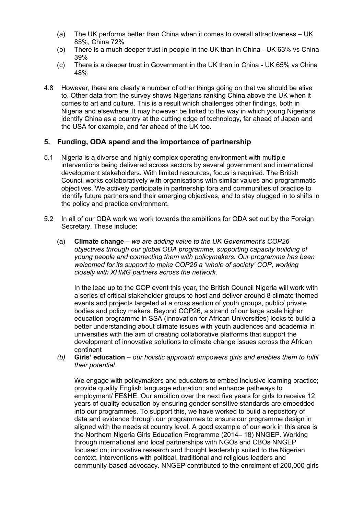- (a) The UK performs better than China when it comes to overall attractiveness UK 85%, China 72%
- (b) There is a much deeper trust in people in the UK than in China UK 63% vs China 39%
- (c) There is a deeper trust in Government in the UK than in China UK 65% vs China 48%
- 4.8 However, there are clearly a number of other things going on that we should be alive to. Other data from the survey shows Nigerians ranking China above the UK when it comes to art and culture. This is a result which challenges other findings, both in Nigeria and elsewhere. It may however be linked to the way in which young Nigerians identify China as a country at the cutting edge of technology, far ahead of Japan and the USA for example, and far ahead of the UK too.

## **5. Funding, ODA spend and the importance of partnership**

- 5.1 Nigeria is a diverse and highly complex operating environment with multiple interventions being delivered across sectors by several government and international development stakeholders. With limited resources, focus is required. The British Council works collaboratively with organisations with similar values and programmatic objectives. We actively participate in partnership fora and communities of practice to identify future partners and their emerging objectives, and to stay plugged in to shifts in the policy and practice environment.
- 5.2 In all of our ODA work we work towards the ambitions for ODA set out by the Foreign Secretary. These include:
	- (a) **Climate change** *we are adding value to the UK Government's COP26 objectives through our global ODA programme, supporting capacity building of young people and connecting them with policymakers. Our programme has been welcomed for its support to make COP26 a 'whole of society' COP, working closely with XHMG partners across the network.*

In the lead up to the COP event this year, the British Council Nigeria will work with a series of critical stakeholder groups to host and deliver around 8 climate themed events and projects targeted at a cross section of youth groups, public/ private bodies and policy makers. Beyond COP26, a strand of our large scale higher education programme in SSA (Innovation for African Universities) looks to build a better understanding about climate issues with youth audiences and academia in universities with the aim of creating collaborative platforms that support the development of innovative solutions to climate change issues across the African continent

*(b)* **Girls' education** – *our holistic approach empowers girls and enables them to fulfil their potential.*

We engage with policymakers and educators to embed inclusive learning practice; provide quality English language education; and enhance pathways to employment/ FE&HE. Our ambition over the next five years for girls to receive 12 years of quality education by ensuring gender sensitive standards are embedded into our programmes. To support this, we have worked to build a repository of data and evidence through our programmes to ensure our programme design in aligned with the needs at country level. A good example of our work in this area is the Northern Nigeria Girls Education Programme (2014– 18) NNGEP. Working through international and local partnerships with NGOs and CBOs NNGEP focused on; innovative research and thought leadership suited to the Nigerian context, interventions with political, traditional and religious leaders and community-based advocacy. NNGEP contributed to the enrolment of 200,000 girls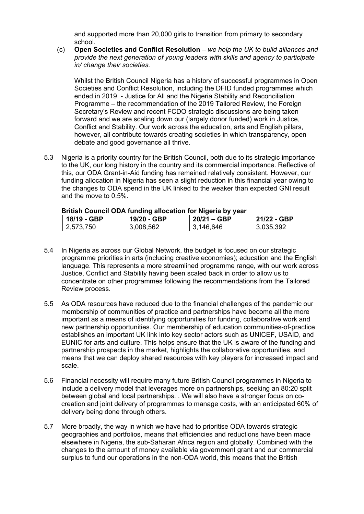and supported more than 20,000 girls to transition from primary to secondary school.

(c) **Open Societies and Conflict Resolution** – *we help the UK to build alliances and provide the next generation of young leaders with skills and agency to participate in/ change their societies.*

Whilst the British Council Nigeria has a history of successful programmes in Open Societies and Conflict Resolution, including the DFID funded programmes which ended in 2019 - Justice for All and the Nigeria Stability and Reconciliation Programme – the recommendation of the 2019 Tailored Review, the Foreign Secretary's Review and recent FCDO strategic discussions are being taken forward and we are scaling down our (largely donor funded) work in Justice, Conflict and Stability. Our work across the education, arts and English pillars, however, all contribute towards creating societies in which transparency, open debate and good governance all thrive.

5.3 Nigeria is a priority country for the British Council, both due to its strategic importance to the UK, our long history in the country and its commercial importance. Reflective of this, our ODA Grant-in-Aid funding has remained relatively consistent. However, our funding allocation in Nigeria has seen a slight reduction in this financial year owing to the changes to ODA spend in the UK linked to the weaker than expected GNI result and the move to 0.5%.

| <b>DITUSH COUTICIL ODA TUHUHIY ANOCATION TOF NIGHTIA DY YEAR</b><br>່ 18/19 - GBP l | 19/20 - GBP | $20/21 - GBP$ | 21/22 - GBP |
|-------------------------------------------------------------------------------------|-------------|---------------|-------------|
| 2,573,750                                                                           | 3,008,562   | 3,146,646     | 3,035,392   |

## **British Council ODA funding allocation for Nigeria by year**

- 5.4 In Nigeria as across our Global Network, the budget is focused on our strategic programme priorities in arts (including creative economies); education and the English language. This represents a more streamlined programme range, with our work across Justice, Conflict and Stability having been scaled back in order to allow us to concentrate on other programmes following the recommendations from the Tailored Review process.
- 5.5 As ODA resources have reduced due to the financial challenges of the pandemic our membership of communities of practice and partnerships have become all the more important as a means of identifying opportunities for funding, collaborative work and new partnership opportunities. Our membership of education communities-of-practice establishes an important UK link into key sector actors such as UNICEF, USAID, and EUNIC for arts and culture. This helps ensure that the UK is aware of the funding and partnership prospects in the market, highlights the collaborative opportunities, and means that we can deploy shared resources with key players for increased impact and scale.
- 5.6 Financial necessity will require many future British Council programmes in Nigeria to include a delivery model that leverages more on partnerships, seeking an 80:20 split between global and local partnerships. . We will also have a stronger focus on cocreation and joint delivery of programmes to manage costs, with an anticipated 60% of delivery being done through others.
- 5.7 More broadly, the way in which we have had to prioritise ODA towards strategic geographies and portfolios, means that efficiencies and reductions have been made elsewhere in Nigeria, the sub-Saharan Africa region and globally. Combined with the changes to the amount of money available via government grant and our commercial surplus to fund our operations in the non-ODA world, this means that the British